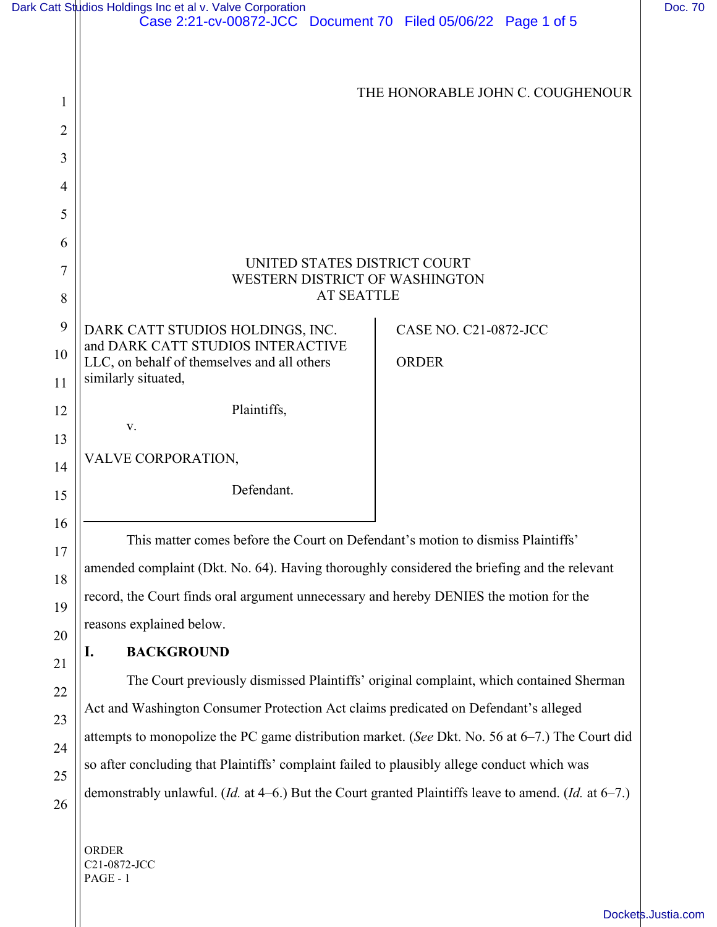|                | Dark Catt Studios Holdings Inc et al v. Valve Corporation<br>Case 2:21-cv-00872-JCC Document 70 Filed 05/06/22 Page 1 of 5 |                                  | Doc. 70 |
|----------------|----------------------------------------------------------------------------------------------------------------------------|----------------------------------|---------|
|                |                                                                                                                            |                                  |         |
| 1              |                                                                                                                            | THE HONORABLE JOHN C. COUGHENOUR |         |
| $\overline{c}$ |                                                                                                                            |                                  |         |
| 3              |                                                                                                                            |                                  |         |
| $\overline{4}$ |                                                                                                                            |                                  |         |
| 5              |                                                                                                                            |                                  |         |
| 6              |                                                                                                                            |                                  |         |
| $\overline{7}$ | UNITED STATES DISTRICT COURT<br>WESTERN DISTRICT OF WASHINGTON                                                             |                                  |         |
| 8              | <b>AT SEATTLE</b>                                                                                                          |                                  |         |
| 9              | DARK CATT STUDIOS HOLDINGS, INC.                                                                                           | CASE NO. C21-0872-JCC            |         |
| 10             | and DARK CATT STUDIOS INTERACTIVE<br>LLC, on behalf of themselves and all others                                           | <b>ORDER</b>                     |         |
| 11             | similarly situated,                                                                                                        |                                  |         |
| 12             | Plaintiffs,<br>V.                                                                                                          |                                  |         |
| 13             | VALVE CORPORATION,                                                                                                         |                                  |         |
| 14             | Defendant.                                                                                                                 |                                  |         |
| 15             |                                                                                                                            |                                  |         |
| 16             | This matter comes before the Court on Defendant's motion to dismiss Plaintiffs'                                            |                                  |         |
| 17             | amended complaint (Dkt. No. 64). Having thoroughly considered the briefing and the relevant                                |                                  |         |
| 18             | record, the Court finds oral argument unnecessary and hereby DENIES the motion for the                                     |                                  |         |
| 19<br>20       | reasons explained below.                                                                                                   |                                  |         |
| 21             | <b>BACKGROUND</b><br>I.                                                                                                    |                                  |         |
| 22             | The Court previously dismissed Plaintiffs' original complaint, which contained Sherman                                     |                                  |         |
| 23             | Act and Washington Consumer Protection Act claims predicated on Defendant's alleged                                        |                                  |         |
| 24             | attempts to monopolize the PC game distribution market. (See Dkt. No. 56 at 6-7.) The Court did                            |                                  |         |

demonstrably unlawful. (*Id.* at 4–6.) But the Court granted Plaintiffs leave to amend. (*Id.* at 6–7.)

so after concluding that Plaintiffs' complaint failed to plausibly allege conduct which was

ORDER C21-0872-JCC PAGE - 1

25

26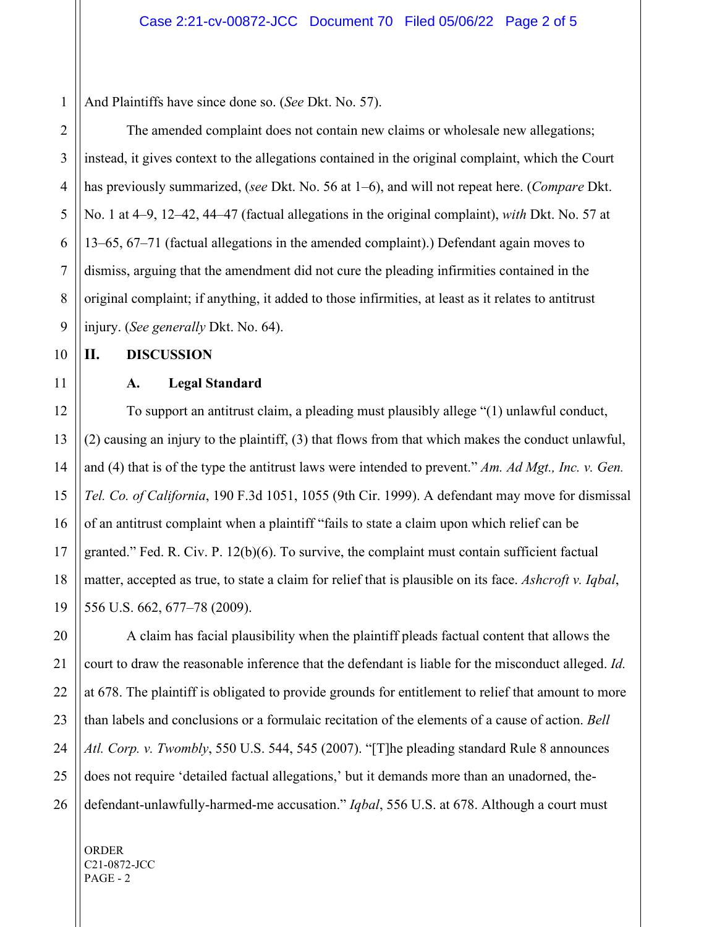1 And Plaintiffs have since done so. (*See* Dkt. No. 57).

The amended complaint does not contain new claims or wholesale new allegations; instead, it gives context to the allegations contained in the original complaint, which the Court has previously summarized, (*see* Dkt. No. 56 at 1–6), and will not repeat here. (*Compare* Dkt. No. 1 at 4–9, 12–42, 44–47 (factual allegations in the original complaint), *with* Dkt. No. 57 at 13–65, 67–71 (factual allegations in the amended complaint).) Defendant again moves to dismiss, arguing that the amendment did not cure the pleading infirmities contained in the original complaint; if anything, it added to those infirmities, at least as it relates to antitrust injury. (*See generally* Dkt. No. 64).

**II. DISCUSSION**

## **A. Legal Standard**

To support an antitrust claim, a pleading must plausibly allege "(1) unlawful conduct, (2) causing an injury to the plaintiff, (3) that flows from that which makes the conduct unlawful, and (4) that is of the type the antitrust laws were intended to prevent." *Am. Ad Mgt., Inc. v. Gen. Tel. Co. of California*, 190 F.3d 1051, 1055 (9th Cir. 1999). A defendant may move for dismissal of an antitrust complaint when a plaintiff "fails to state a claim upon which relief can be granted." Fed. R. Civ. P. 12(b)(6). To survive, the complaint must contain sufficient factual matter, accepted as true, to state a claim for relief that is plausible on its face. *Ashcroft v. Iqbal*, 556 U.S. 662, 677–78 (2009).

A claim has facial plausibility when the plaintiff pleads factual content that allows the court to draw the reasonable inference that the defendant is liable for the misconduct alleged. *Id.*  at 678. The plaintiff is obligated to provide grounds for entitlement to relief that amount to more than labels and conclusions or a formulaic recitation of the elements of a cause of action. *Bell Atl. Corp. v. Twombly*, 550 U.S. 544, 545 (2007). "[T]he pleading standard Rule 8 announces does not require 'detailed factual allegations,' but it demands more than an unadorned, thedefendant-unlawfully-harmed-me accusation." *Iqbal*, 556 U.S. at 678. Although a court must

ORDER C21-0872-JCC PAGE - 2

2

3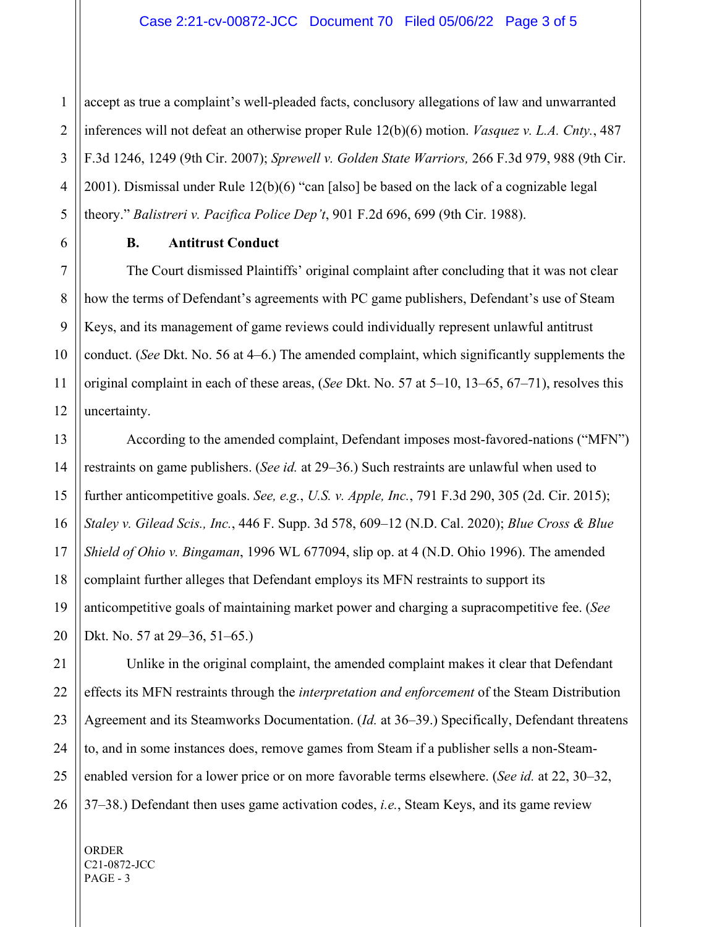1 accept as true a complaint's well-pleaded facts, conclusory allegations of law and unwarranted inferences will not defeat an otherwise proper Rule 12(b)(6) motion. *Vasquez v. L.A. Cnty.*, 487 F.3d 1246, 1249 (9th Cir. 2007); *Sprewell v. Golden State Warriors,* 266 F.3d 979, 988 (9th Cir. 2001). Dismissal under Rule 12(b)(6) "can [also] be based on the lack of a cognizable legal theory." *Balistreri v. Pacifica Police Dep't*, 901 F.2d 696, 699 (9th Cir. 1988).

**B. Antitrust Conduct** 

The Court dismissed Plaintiffs' original complaint after concluding that it was not clear how the terms of Defendant's agreements with PC game publishers, Defendant's use of Steam Keys, and its management of game reviews could individually represent unlawful antitrust conduct. (*See* Dkt. No. 56 at 4–6.) The amended complaint, which significantly supplements the original complaint in each of these areas, (*See* Dkt. No. 57 at 5–10, 13–65, 67–71), resolves this uncertainty.

According to the amended complaint, Defendant imposes most-favored-nations ("MFN") restraints on game publishers. (*See id.* at 29–36.) Such restraints are unlawful when used to further anticompetitive goals. *See, e.g.*, *U.S. v. Apple, Inc.*, 791 F.3d 290, 305 (2d. Cir. 2015); *Staley v. Gilead Scis., Inc.*, 446 F. Supp. 3d 578, 609–12 (N.D. Cal. 2020); *Blue Cross & Blue Shield of Ohio v. Bingaman*, 1996 WL 677094, slip op. at 4 (N.D. Ohio 1996). The amended complaint further alleges that Defendant employs its MFN restraints to support its anticompetitive goals of maintaining market power and charging a supracompetitive fee. (*See*  Dkt. No. 57 at 29–36, 51–65.)

Unlike in the original complaint, the amended complaint makes it clear that Defendant effects its MFN restraints through the *interpretation and enforcement* of the Steam Distribution Agreement and its Steamworks Documentation. (*Id.* at 36–39.) Specifically, Defendant threatens to, and in some instances does, remove games from Steam if a publisher sells a non-Steamenabled version for a lower price or on more favorable terms elsewhere. (*See id.* at 22, 30–32, 37–38.) Defendant then uses game activation codes, *i.e.*, Steam Keys, and its game review

ORDER C21-0872-JCC PAGE - 3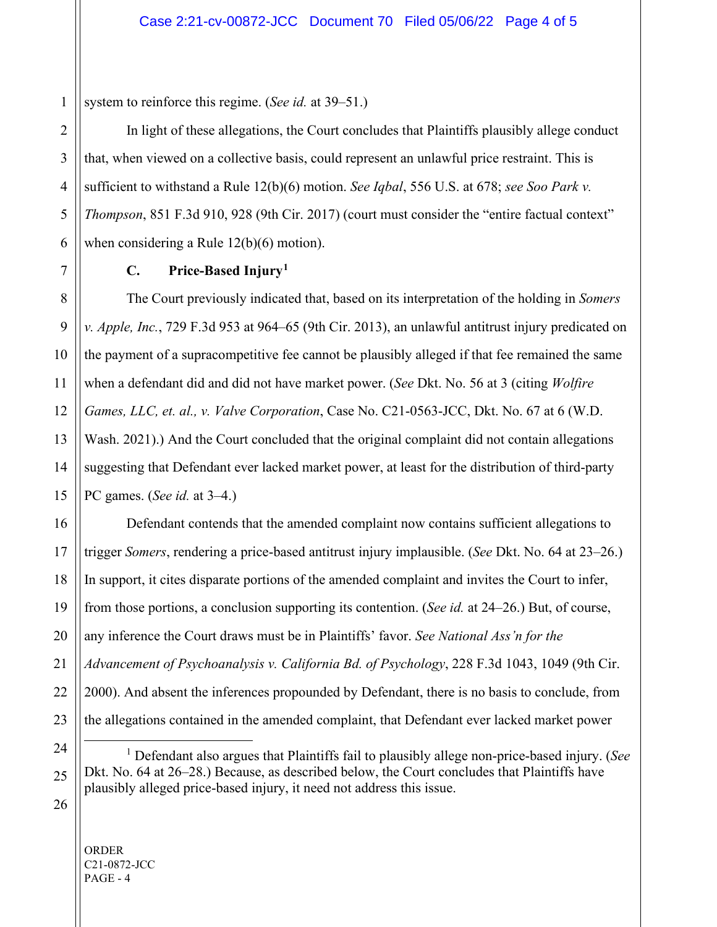system to reinforce this regime. (*See id.* at 39–51.)

In light of these allegations, the Court concludes that Plaintiffs plausibly allege conduct that, when viewed on a collective basis, could represent an unlawful price restraint. This is sufficient to withstand a Rule 12(b)(6) motion. *See Iqbal*, 556 U.S. at 678; *see Soo Park v. Thompson*, 851 F.3d 910, 928 (9th Cir. 2017) (court must consider the "entire factual context" when considering a Rule 12(b)(6) motion).

## **C. Price-Based Injury[1](#page-3-0)**

The Court previously indicated that, based on its interpretation of the holding in *Somers v. Apple, Inc.*, 729 F.3d 953 at 964–65 (9th Cir. 2013), an unlawful antitrust injury predicated on the payment of a supracompetitive fee cannot be plausibly alleged if that fee remained the same when a defendant did and did not have market power. (*See* Dkt. No. 56 at 3 (citing *Wolfire Games, LLC, et. al., v. Valve Corporation*, Case No. C21-0563-JCC, Dkt. No. 67 at 6 (W.D. Wash. 2021).) And the Court concluded that the original complaint did not contain allegations suggesting that Defendant ever lacked market power, at least for the distribution of third-party PC games. (*See id.* at 3–4.)

Defendant contends that the amended complaint now contains sufficient allegations to trigger *Somers*, rendering a price-based antitrust injury implausible. (*See* Dkt. No. 64 at 23–26.) In support, it cites disparate portions of the amended complaint and invites the Court to infer, from those portions, a conclusion supporting its contention. (*See id.* at 24–26.) But, of course, any inference the Court draws must be in Plaintiffs' favor. *See National Ass'n for the Advancement of Psychoanalysis v. California Bd. of Psychology*, 228 F.3d 1043, 1049 (9th Cir. 2000). And absent the inferences propounded by Defendant, there is no basis to conclude, from the allegations contained in the amended complaint, that Defendant ever lacked market power

- <sup>1</sup> Defendant also argues that Plaintiffs fail to plausibly allege non-price-based injury. (*See* Dkt. No. 64 at 26–28.) Because, as described below, the Court concludes that Plaintiffs have plausibly alleged price-based injury, it need not address this issue.
- <span id="page-3-0"></span>

ORDER C21-0872-JCC  $PAGE - 4$